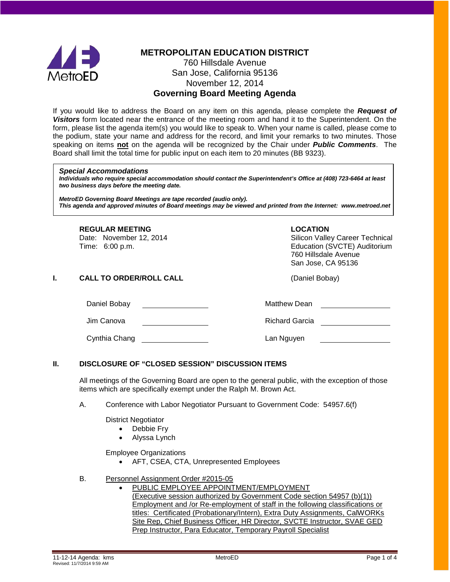

## **METROPOLITAN EDUCATION DISTRICT**

### 760 Hillsdale Avenue San Jose, California 95136 November 12, 2014 **Governing Board Meeting Agenda**

If you would like to address the Board on any item on this agenda, please complete the *Request of Visitors* form located near the entrance of the meeting room and hand it to the Superintendent. On the form, please list the agenda item(s) you would like to speak to. When your name is called, please come to the podium, state your name and address for the record, and limit your remarks to two minutes. Those speaking on items **not** on the agenda will be recognized by the Chair under *Public Comments*. The Board shall limit the total time for public input on each item to 20 minutes (BB 9323).

#### *Special Accommodations*

*Individuals who require special accommodation should contact the Superintendent's Office at (408) 723-6464 at least two business days before the meeting date.*

*MetroED Governing Board Meetings are tape recorded (audio only). This agenda and approved minutes of Board meetings may be viewed and printed from the Internet: www.metroed.net*

**REGULAR MEETING**<br>
Date: November 12, 2014 **COLOGY CONTRACTES**<br>
Silicon Valle

Silicon Valley Career Technical Time: 6:00 p.m. Education (SVCTE) Auditorium 760 Hillsdale Avenue San Jose, CA 95136

#### **I. CALL TO ORDER/ROLL CALL CALL CALL** (Daniel Bobay)

| Daniel Bobay  | <b>Matthew Dean</b>   |
|---------------|-----------------------|
| Jim Canova    | <b>Richard Garcia</b> |
| Cynthia Chang | Lan Nguyen            |

#### **II. DISCLOSURE OF "CLOSED SESSION" DISCUSSION ITEMS**

All meetings of the Governing Board are open to the general public, with the exception of those items which are specifically exempt under the Ralph M. Brown Act.

A. Conference with Labor Negotiator Pursuant to Government Code: 54957.6(f)

District Negotiator

- Debbie Fry
- Alyssa Lynch

Employee Organizations

• AFT, CSEA, CTA, Unrepresented Employees

#### B. Personnel Assignment Order #2015-05

• PUBLIC EMPLOYEE APPOINTMENT/EMPLOYMENT (Executive session authorized by Government Code section 54957 (b)(1)) Employment and /or Re-employment of staff in the following classifications or titles: Certificated (Probationary/Intern), Extra Duty Assignments, CalWORKs Site Rep, Chief Business Officer, HR Director, SVCTE Instructor, SVAE GED Prep Instructor, Para Educator, Temporary Payroll Specialist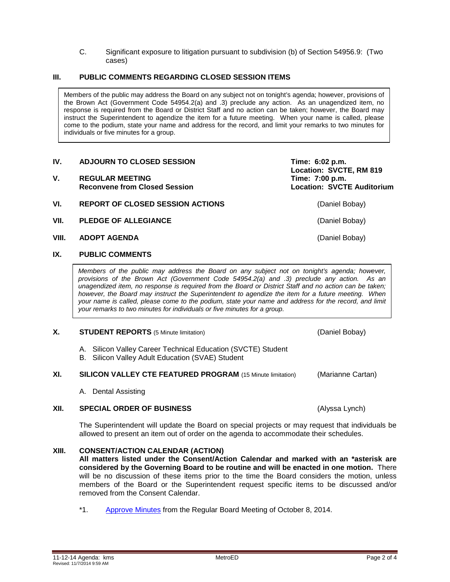C. Significant exposure to litigation pursuant to subdivision (b) of Section 54956.9: (Two cases)

#### **III. PUBLIC COMMENTS REGARDING CLOSED SESSION ITEMS**

Members of the public may address the Board on any subject not on tonight's agenda; however, provisions of the Brown Act (Government Code 54954.2(a) and .3) preclude any action. As an unagendized item, no response is required from the Board or District Staff and no action can be taken; however, the Board may instruct the Superintendent to agendize the item for a future meeting. When your name is called, please come to the podium, state your name and address for the record, and limit your remarks to two minutes for individuals or five minutes for a group.

#### **IV.** ADJOURN TO CLOSED SESSION **Time: 6:02 p.m.**

- V. REGULAR MEETING<br>Reconvene from Closed Session<br>Reconvene from Closed Session<br>Reconvene from Closed Session **Reconvene from Closed Session**
- **VI. REPORT OF CLOSED SESSION ACTIONS** (Daniel Bobay)
- **VII. PLEDGE OF ALLEGIANCE** (Daniel Bobay)
- **VIII. ADOPT AGENDA** (Daniel Bobay)

### **IX. PUBLIC COMMENTS**

*Members of the public may address the Board on any subject not on tonight's agenda; however, provisions of the Brown Act (Government Code 54954.2(a) and .3) preclude any action. As an unagendized item, no response is required from the Board or District Staff and no action can be taken; however, the Board may instruct the Superintendent to agendize the item for a future meeting. When your name is called, please come to the podium, state your name and address for the record, and limit your remarks to two minutes for individuals or five minutes for a group.*

#### **X. STUDENT REPORTS** (5 Minute limitation) **COMING A CONTROVERGY** (Daniel Bobay)

- A. Silicon Valley Career Technical Education (SVCTE) Student
- B. Silicon Valley Adult Education (SVAE) Student
- **XI. SILICON VALLEY CTE FEATURED PROGRAM** (15 Minute limitation) (Marianne Cartan)
	- A. Dental Assisting

#### **XII. SPECIAL ORDER OF BUSINESS** (Alyssa Lynch)

The Superintendent will update the Board on special projects or may request that individuals be allowed to present an item out of order on the agenda to accommodate their schedules.

#### **XIII. CONSENT/ACTION CALENDAR (ACTION)**

**All matters listed under the Consent/Action Calendar and marked with an \*asterisk are considered by the Governing Board to be routine and will be enacted in one motion.** There will be no discussion of these items prior to the time the Board considers the motion, unless members of the Board or the Superintendent request specific items to be discussed and/or removed from the Consent Calendar.

\*1. [Approve Minutes](http://fbsd.metroed.net/ksmith/Board_Agenda/11-12-14BoardAgenda/Item-01_10-08-14BoardMinutes.pdf) from the Regular Board Meeting of October 8, 2014.

**Location: SVCTE, RM 819**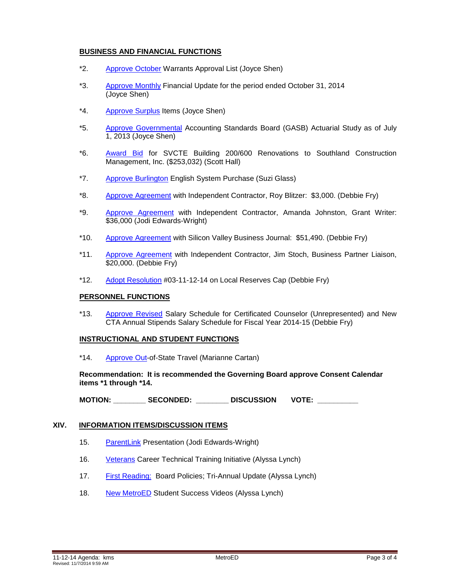#### **BUSINESS AND FINANCIAL FUNCTIONS**

- \*2. [Approve October](http://fbsd.metroed.net/ksmith/Board_Agenda/11-12-14BoardAgenda/Item-02.pdf) Warrants Approval List (Joyce Shen)
- \*3. [Approve Monthly](http://fbsd.metroed.net/ksmith/Board_Agenda/11-12-14BoardAgenda/Item-03.pdf) Financial Update for the period ended October 31, 2014 (Joyce Shen)
- \*4. [Approve Surplus](http://fbsd.metroed.net/ksmith/Board_Agenda/11-12-14BoardAgenda/Item-04.pdf) Items (Joyce Shen)
- \*5. [Approve Governmental](http://fbsd.metroed.net/ksmith/Board_Agenda/11-12-14BoardAgenda/Item-05.pdf) Accounting Standards Board (GASB) Actuarial Study as of July 1, 2013 (Joyce Shen)
- \*6. [Award Bid](http://fbsd.metroed.net/ksmith/Board_Agenda/11-12-14BoardAgenda/Item-06.pdf) for SVCTE Building 200/600 Renovations to Southland Construction Management, Inc. (\$253,032) (Scott Hall)
- \*7. [Approve Burlington](http://fbsd.metroed.net/ksmith/Board_Agenda/11-12-14BoardAgenda/Item-07.pdf) English System Purchase (Suzi Glass)
- \*8. [Approve Agreement](http://fbsd.metroed.net/ksmith/Board_Agenda/11-12-14BoardAgenda/Item-08.pdf) with Independent Contractor, Roy Blitzer: \$3,000. (Debbie Fry)
- \*9. [Approve Agreement](http://fbsd.metroed.net/ksmith/Board_Agenda/11-12-14BoardAgenda/Item-09.pdf) with Independent Contractor, Amanda Johnston, Grant Writer: \$36,000 (Jodi Edwards-Wright)
- \*10. [Approve Agreement](http://fbsd.metroed.net/ksmith/Board_Agenda/11-12-14BoardAgenda/Item-10.pdf) with Silicon Valley Business Journal: \$51,490. (Debbie Fry)
- \*11. [Approve Agreement](http://fbsd.metroed.net/ksmith/Board_Agenda/11-12-14BoardAgenda/Item-11.pdf) with Independent Contractor, Jim Stoch, Business Partner Liaison, \$20,000. (Debbie Fry)
- \*12. [Adopt Resolution](http://fbsd.metroed.net/ksmith/Board_Agenda/11-12-14BoardAgenda/Item-12.pdf) #03-11-12-14 on Local Reserves Cap (Debbie Fry)

#### **PERSONNEL FUNCTIONS**

\*13. [Approve Revised](http://fbsd.metroed.net/ksmith/Board_Agenda/11-12-14BoardAgenda/Item-13.pdf) Salary Schedule for Certificated Counselor (Unrepresented) and New CTA Annual Stipends Salary Schedule for Fiscal Year 2014-15 (Debbie Fry)

#### **INSTRUCTIONAL AND STUDENT FUNCTIONS**

\*14. [Approve Out-](http://fbsd.metroed.net/ksmith/Board_Agenda/11-12-14BoardAgenda/Item-14.pdf)of-State Travel (Marianne Cartan)

**Recommendation: It is recommended the Governing Board approve Consent Calendar items \*1 through \*14.**

**MOTION: \_\_\_\_\_\_\_\_ SECONDED: \_\_\_\_\_\_\_\_ DISCUSSION VOTE: \_\_\_\_\_\_\_\_\_\_**

#### **XIV. INFORMATION ITEMS/DISCUSSION ITEMS**

- 15. [ParentLink](http://fbsd.metroed.net/ksmith/Board_Agenda/11-12-14BoardAgenda/Item-15.pdf) Presentation (Jodi Edwards-Wright)
- 16. [Veterans](http://fbsd.metroed.net/ksmith/Board_Agenda/11-12-14BoardAgenda/Item-16.pdf) Career Technical Training Initiative (Alyssa Lynch)
- 17. [First Reading:](http://fbsd.metroed.net/ksmith/Board_Agenda/11-12-14BoardAgenda/Item-17.pdf) Board Policies; Tri-Annual Update (Alyssa Lynch)
- 18. [New MetroED](http://fbsd.metroed.net/ksmith/Board_Agenda/11-12-14BoardAgenda/Item-18.pdf) Student Success Videos (Alyssa Lynch)